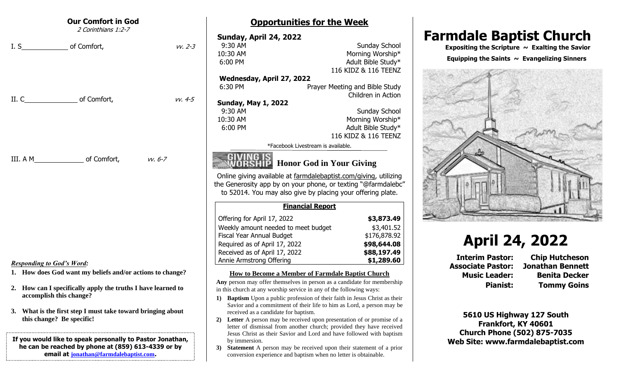| <b>Our Comfort in God</b><br>2 Corinthians 1:2-7                                                                                                                                                                                                                                                       | <b>Opportunities for the Week</b>                                                                                                                                                                                                                                                                                                                                                                                                                                                                                                                                                                                                                                                |                                                                                                                                                                                 |
|--------------------------------------------------------------------------------------------------------------------------------------------------------------------------------------------------------------------------------------------------------------------------------------------------------|----------------------------------------------------------------------------------------------------------------------------------------------------------------------------------------------------------------------------------------------------------------------------------------------------------------------------------------------------------------------------------------------------------------------------------------------------------------------------------------------------------------------------------------------------------------------------------------------------------------------------------------------------------------------------------|---------------------------------------------------------------------------------------------------------------------------------------------------------------------------------|
| I. S<br>of Comfort,<br>$VV. 2-3$                                                                                                                                                                                                                                                                       | <b>Sunday, April 24, 2022</b><br>Sunday School<br>9:30 AM<br>10:30 AM<br>Morning Worship*<br>6:00 PM<br>Adult Bible Study*<br>116 KIDZ & 116 TEENZ<br>Wednesday, April 27, 2022<br>6:30 PM<br>Prayer Meeting and Bible Study                                                                                                                                                                                                                                                                                                                                                                                                                                                     | <b>Farmdale Baptist Church</b><br>Expositing the Scripture $\sim$ Exalting the Savior<br>Equipping the Saints $\sim$ Evangelizing Sinners                                       |
| II. C<br>of Comfort,<br>$VV. 4-5$                                                                                                                                                                                                                                                                      | Children in Action<br><b>Sunday, May 1, 2022</b><br>9:30 AM<br><b>Sunday School</b><br>10:30 AM<br>Morning Worship*<br>6:00 PM<br>Adult Bible Study*<br>116 KIDZ & 116 TEENZ<br>*Facebook Livestream is available.                                                                                                                                                                                                                                                                                                                                                                                                                                                               |                                                                                                                                                                                 |
| III. A M<br>of Comfort,<br>w. 6-7                                                                                                                                                                                                                                                                      | <b>Honor God in Your Giving</b><br>Online giving available at farmdalebaptist.com/giving, utilizing<br>the Generosity app by on your phone, or texting "@farmdalebc"<br>to 52014. You may also give by placing your offering plate.<br><b>Financial Report</b>                                                                                                                                                                                                                                                                                                                                                                                                                   |                                                                                                                                                                                 |
| <b>Responding to God's Word:</b><br>1. How does God want my beliefs and/or actions to change?                                                                                                                                                                                                          | Offering for April 17, 2022<br>\$3,873.49<br>Weekly amount needed to meet budget<br>\$3,401.52<br>Fiscal Year Annual Budget<br>\$176,878.92<br>Required as of April 17, 2022<br>\$98,644.08<br>Received as of April 17, 2022<br>\$88,197.49<br>Annie Armstrong Offering<br>\$1,289.60<br>How to Become a Member of Farmdale Baptist Church                                                                                                                                                                                                                                                                                                                                       | <b>April 24, 2022</b><br><b>Interim Pastor:</b><br><b>Chip Hutcheson</b><br><b>Associate Pastor:</b><br><b>Jonathan Bennett</b><br><b>Music Leader:</b><br><b>Benita Decker</b> |
| 2. How can I specifically apply the truths I have learned to<br>accomplish this change?<br>3. What is the first step I must take toward bringing about<br>this change? Be specific!<br>If you would like to speak personally to Pastor Jonathan,<br>he can be reached by phone at (859) 613-4339 or by | Any person may offer themselves in person as a candidate for membership<br>in this church at any worship service in any of the following ways:<br>1) Baptism Upon a public profession of their faith in Jesus Christ as their<br>Savior and a commitment of their life to him as Lord, a person may be<br>received as a candidate for baptism.<br>Letter A person may be received upon presentation of or promise of a<br>2)<br>letter of dismissal from another church; provided they have received<br>Jesus Christ as their Savior and Lord and have followed with baptism<br>by immersion.<br><b>Statement</b> A person may be received upon their statement of a prior<br>3) | <b>Pianist:</b><br><b>Tommy Goins</b><br>5610 US Highway 127 South<br>Frankfort, KY 40601<br><b>Church Phone (502) 875-7035</b><br>Web Site: www.farmdalebaptist.com            |